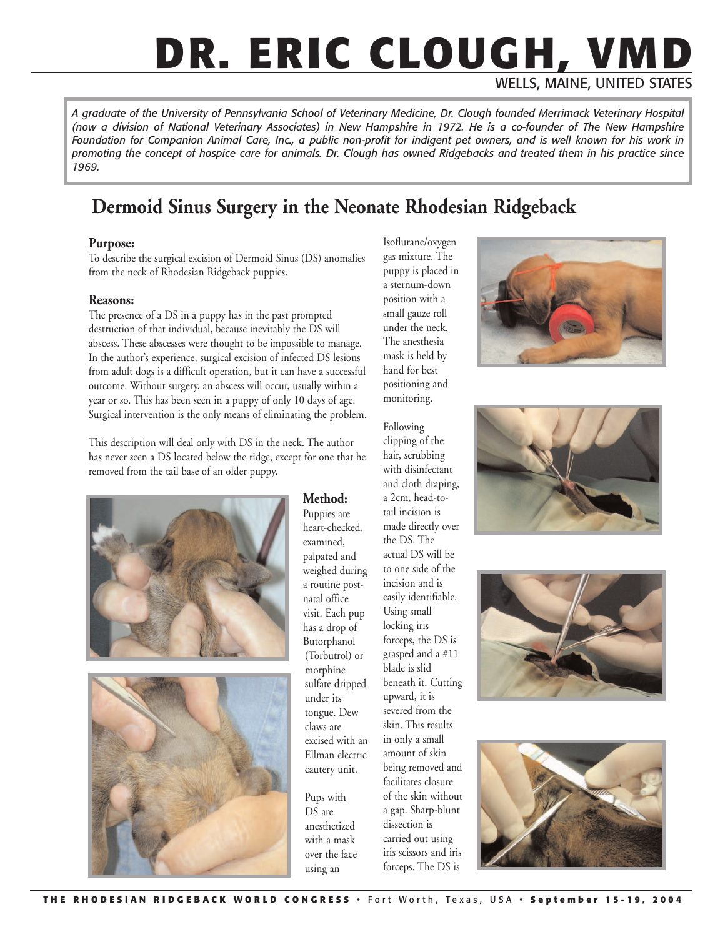# **DR. ERIC CLOUGH, VMD**

WELLS, MAINE, UNITED STATES

*A graduate of the University of Pennsylvania School of Veterinary Medicine, Dr. Clough founded Merrimack Veterinary Hospital (now a division of National Veterinary Associates) in New Hampshire in 1972. He is a co-founder of The New Hampshire Foundation for Companion Animal Care, Inc., a public non-profit for indigent pet owners, and is well known for his work in promoting the concept of hospice care for animals. Dr. Clough has owned Ridgebacks and treated them in his practice since 1969.*

### **Dermoid Sinus Surgery in the Neonate Rhodesian Ridgeback**

#### **Purpose:**

To describe the surgical excision of Dermoid Sinus (DS) anomalies from the neck of Rhodesian Ridgeback puppies.

#### **Reasons:**

The presence of a DS in a puppy has in the past prompted destruction of that individual, because inevitably the DS will abscess. These abscesses were thought to be impossible to manage. In the author's experience, surgical excision of infected DS lesions from adult dogs is a difficult operation, but it can have a successful outcome. Without surgery, an abscess will occur, usually within a year or so. This has been seen in a puppy of only 10 days of age. Surgical intervention is the only means of eliminating the problem.

This description will deal only with DS in the neck. The author has never seen a DS located below the ridge, except for one that he removed from the tail base of an older puppy.





#### **Method:**

Puppies are heart-checked, examined, palpated and weighed during a routine postnatal office visit. Each pup has a drop of Butorphanol (Torbutrol) or morphine sulfate dripped under its tongue. Dew claws are excised with an Ellman electric cautery unit.

Pups with DS are anesthetized with a mask over the face using an

Isoflurane/oxygen gas mixture. The puppy is placed in a sternum-down position with a small gauze roll under the neck. The anesthesia mask is held by hand for best positioning and monitoring.

Following clipping of the hair, scrubbing with disinfectant and cloth draping, a 2cm, head-totail incision is made directly over the DS. The actual DS will be to one side of the incision and is easily identifiable. Using small locking iris forceps, the DS is grasped and a #11 blade is slid beneath it. Cutting upward, it is severed from the skin. This results in only a small amount of skin being removed and facilitates closure of the skin without a gap. Sharp-blunt dissection is carried out using iris scissors and iris forceps. The DS is